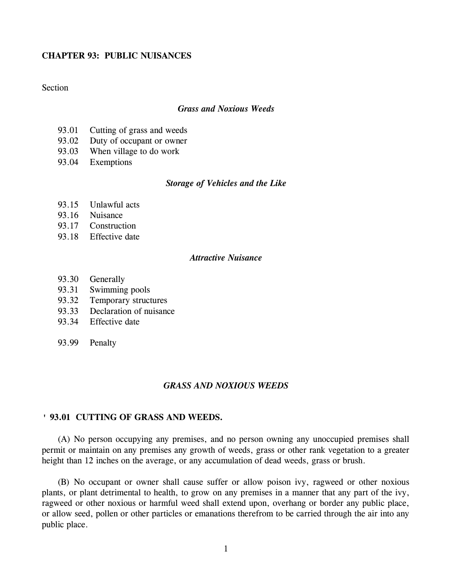# **CHAPTER 93: PUBLIC NUISANCES**

# **Section**

# *Grass and Noxious Weeds*

- 93.01 Cutting of grass and weeds
- 93.02 Duty of occupant or owner
- 93.03 When village to do work
- 93.04 Exemptions

## *Storage of Vehicles and the Like*

- 93.15 Unlawful acts
- 93.16 Nuisance
- 93.17 Construction
- 93.18 Effective date

# *Attractive Nuisance*

- 93.30 Generally
- 93.31 Swimming pools
- 93.32 Temporary structures
- 93.33 Declaration of nuisance
- 93.34 Effective date
- 93.99 Penalty

#### *GRASS AND NOXIOUS WEEDS*

### **' 93.01 CUTTING OF GRASS AND WEEDS.**

(A) No person occupying any premises, and no person owning any unoccupied premises shall permit or maintain on any premises any growth of weeds, grass or other rank vegetation to a greater height than 12 inches on the average, or any accumulation of dead weeds, grass or brush.

(B) No occupant or owner shall cause suffer or allow poison ivy, ragweed or other noxious plants, or plant detrimental to health, to grow on any premises in a manner that any part of the ivy, ragweed or other noxious or harmful weed shall extend upon, overhang or border any public place, or allow seed, pollen or other particles or emanations therefrom to be carried through the air into any public place.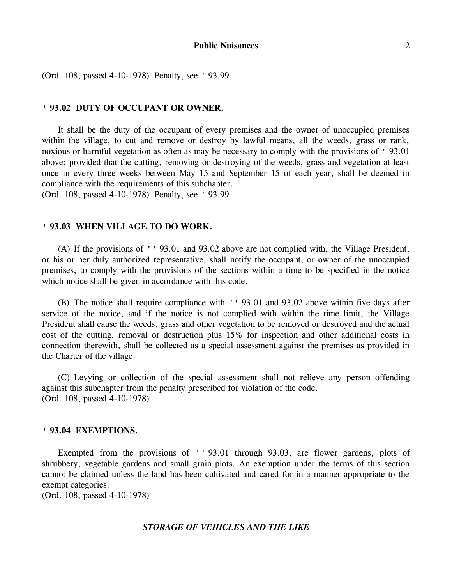(Ord. 108, passed 4-10-1978) Penalty, see ' 93.99

#### **' 93.02 DUTY OF OCCUPANT OR OWNER.**

It shall be the duty of the occupant of every premises and the owner of unoccupied premises within the village, to cut and remove or destroy by lawful means, all the weeds, grass or rank, noxious or harmful vegetation as often as may be necessary to comply with the provisions of ' 93.01 above; provided that the cutting, removing or destroying of the weeds, grass and vegetation at least once in every three weeks between May 15 and September 15 of each year, shall be deemed in compliance with the requirements of this subchapter. (Ord. 108, passed 4-10-1978) Penalty, see ' 93.99

#### **' 93.03 WHEN VILLAGE TO DO WORK.**

(A) If the provisions of '' 93.01 and 93.02 above are not complied with, the Village President, or his or her duly authorized representative, shall notify the occupant, or owner of the unoccupied premises, to comply with the provisions of the sections within a time to be specified in the notice which notice shall be given in accordance with this code.

(B) The notice shall require compliance with '' 93.01 and 93.02 above within five days after service of the notice, and if the notice is not complied with within the time limit, the Village President shall cause the weeds, grass and other vegetation to be removed or destroyed and the actual cost of the cutting, removal or destruction plus 15% for inspection and other additional costs in connection therewith, shall be collected as a special assessment against the premises as provided in the Charter of the village.

(C) Levying or collection of the special assessment shall not relieve any person offending against this subchapter from the penalty prescribed for violation of the code. (Ord. 108, passed 4-10-1978)

#### **' 93.04 EXEMPTIONS.**

Exempted from the provisions of '' 93.01 through 93.03, are flower gardens, plots of shrubbery, vegetable gardens and small grain plots. An exemption under the terms of this section cannot be claimed unless the land has been cultivated and cared for in a manner appropriate to the exempt categories.

(Ord. 108, passed 4-10-1978)

#### *STORAGE OF VEHICLES AND THE LIKE*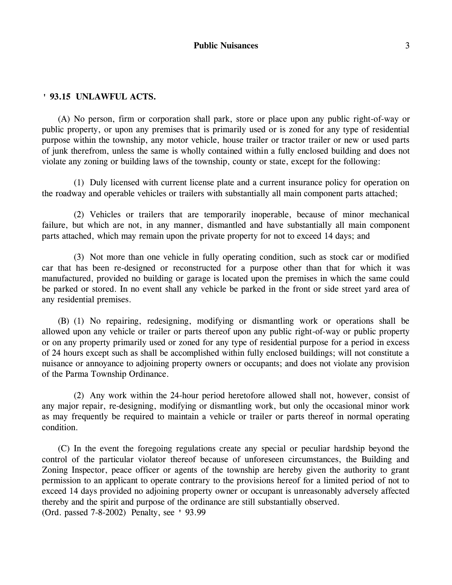## **' 93.15 UNLAWFUL ACTS.**

(A) No person, firm or corporation shall park, store or place upon any public right-of-way or public property, or upon any premises that is primarily used or is zoned for any type of residential purpose within the township, any motor vehicle, house trailer or tractor trailer or new or used parts of junk therefrom, unless the same is wholly contained within a fully enclosed building and does not violate any zoning or building laws of the township, county or state, except for the following:

(1) Duly licensed with current license plate and a current insurance policy for operation on the roadway and operable vehicles or trailers with substantially all main component parts attached;

(2) Vehicles or trailers that are temporarily inoperable, because of minor mechanical failure, but which are not, in any manner, dismantled and have substantially all main component parts attached, which may remain upon the private property for not to exceed 14 days; and

(3) Not more than one vehicle in fully operating condition, such as stock car or modified car that has been re-designed or reconstructed for a purpose other than that for which it was manufactured, provided no building or garage is located upon the premises in which the same could be parked or stored. In no event shall any vehicle be parked in the front or side street yard area of any residential premises.

(B) (1) No repairing, redesigning, modifying or dismantling work or operations shall be allowed upon any vehicle or trailer or parts thereof upon any public right-of-way or public property or on any property primarily used or zoned for any type of residential purpose for a period in excess of 24 hours except such as shall be accomplished within fully enclosed buildings; will not constitute a nuisance or annoyance to adjoining property owners or occupants; and does not violate any provision of the Parma Township Ordinance.

(2) Any work within the 24-hour period heretofore allowed shall not, however, consist of any major repair, re-designing, modifying or dismantling work, but only the occasional minor work as may frequently be required to maintain a vehicle or trailer or parts thereof in normal operating condition.

(C) In the event the foregoing regulations create any special or peculiar hardship beyond the control of the particular violator thereof because of unforeseen circumstances, the Building and Zoning Inspector, peace officer or agents of the township are hereby given the authority to grant permission to an applicant to operate contrary to the provisions hereof for a limited period of not to exceed 14 days provided no adjoining property owner or occupant is unreasonably adversely affected thereby and the spirit and purpose of the ordinance are still substantially observed. (Ord. passed 7-8-2002) Penalty, see ' 93.99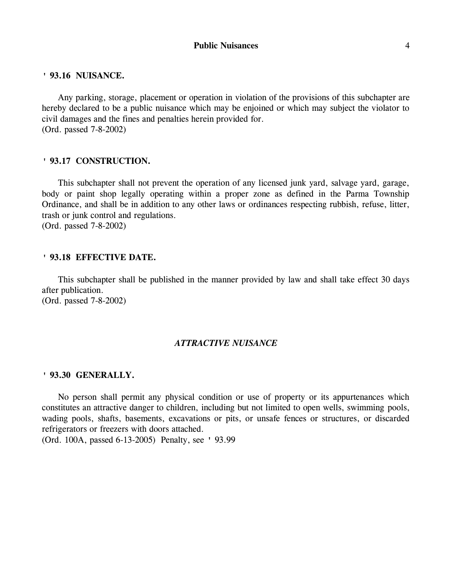#### **' 93.16 NUISANCE.**

Any parking, storage, placement or operation in violation of the provisions of this subchapter are hereby declared to be a public nuisance which may be enjoined or which may subject the violator to civil damages and the fines and penalties herein provided for. (Ord. passed 7-8-2002)

#### **' 93.17 CONSTRUCTION.**

This subchapter shall not prevent the operation of any licensed junk yard, salvage yard, garage, body or paint shop legally operating within a proper zone as defined in the Parma Township Ordinance, and shall be in addition to any other laws or ordinances respecting rubbish, refuse, litter, trash or junk control and regulations. (Ord. passed 7-8-2002)

## **' 93.18 EFFECTIVE DATE.**

This subchapter shall be published in the manner provided by law and shall take effect 30 days after publication. (Ord. passed 7-8-2002)

#### *ATTRACTIVE NUISANCE*

#### **' 93.30 GENERALLY.**

No person shall permit any physical condition or use of property or its appurtenances which constitutes an attractive danger to children, including but not limited to open wells, swimming pools, wading pools, shafts, basements, excavations or pits, or unsafe fences or structures, or discarded refrigerators or freezers with doors attached. (Ord. 100A, passed 6-13-2005) Penalty, see ' 93.99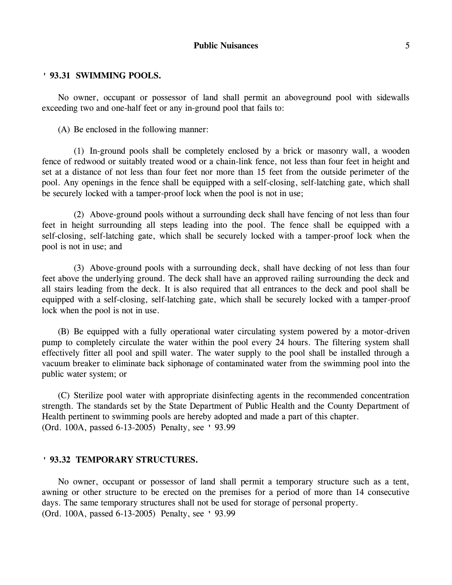#### **Public Nuisances** 5

## **' 93.31 SWIMMING POOLS.**

No owner, occupant or possessor of land shall permit an aboveground pool with sidewalls exceeding two and one-half feet or any in-ground pool that fails to:

(A) Be enclosed in the following manner:

(1) In-ground pools shall be completely enclosed by a brick or masonry wall, a wooden fence of redwood or suitably treated wood or a chain-link fence, not less than four feet in height and set at a distance of not less than four feet nor more than 15 feet from the outside perimeter of the pool. Any openings in the fence shall be equipped with a self-closing, self-latching gate, which shall be securely locked with a tamper-proof lock when the pool is not in use;

(2) Above-ground pools without a surrounding deck shall have fencing of not less than four feet in height surrounding all steps leading into the pool. The fence shall be equipped with a self-closing, self-latching gate, which shall be securely locked with a tamper-proof lock when the pool is not in use; and

(3) Above-ground pools with a surrounding deck, shall have decking of not less than four feet above the underlying ground. The deck shall have an approved railing surrounding the deck and all stairs leading from the deck. It is also required that all entrances to the deck and pool shall be equipped with a self-closing, self-latching gate, which shall be securely locked with a tamper-proof lock when the pool is not in use.

(B) Be equipped with a fully operational water circulating system powered by a motor-driven pump to completely circulate the water within the pool every 24 hours. The filtering system shall effectively fitter all pool and spill water. The water supply to the pool shall be installed through a vacuum breaker to eliminate back siphonage of contaminated water from the swimming pool into the public water system; or

(C) Sterilize pool water with appropriate disinfecting agents in the recommended concentration strength. The standards set by the State Department of Public Health and the County Department of Health pertinent to swimming pools are hereby adopted and made a part of this chapter. (Ord. 100A, passed 6-13-2005) Penalty, see ' 93.99

#### **' 93.32 TEMPORARY STRUCTURES.**

No owner, occupant or possessor of land shall permit a temporary structure such as a tent, awning or other structure to be erected on the premises for a period of more than 14 consecutive days. The same temporary structures shall not be used for storage of personal property. (Ord. 100A, passed 6-13-2005) Penalty, see ' 93.99